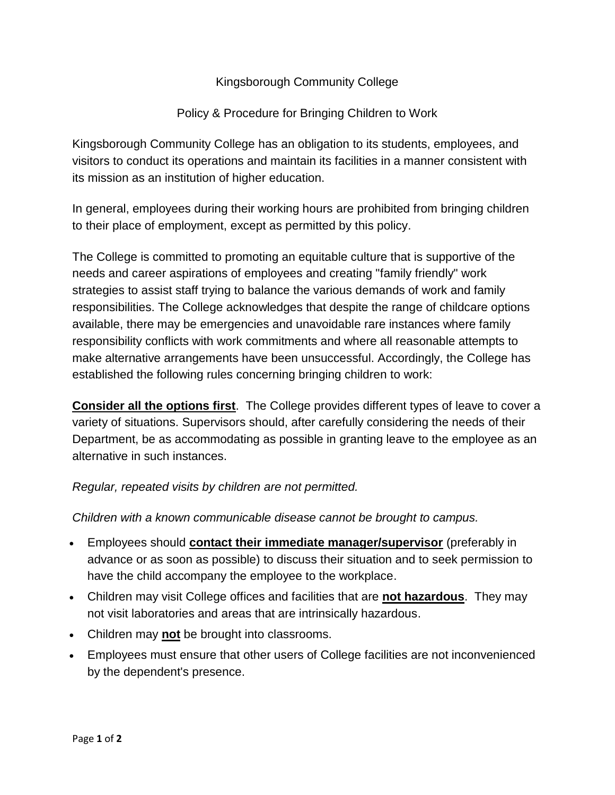## Kingsborough Community College

## Policy & Procedure for Bringing Children to Work

Kingsborough Community College has an obligation to its students, employees, and visitors to conduct its operations and maintain its facilities in a manner consistent with its mission as an institution of higher education.

In general, employees during their working hours are prohibited from bringing children to their place of employment, except as permitted by this policy.

The College is committed to promoting an equitable culture that is supportive of the needs and career aspirations of employees and creating "family friendly" work strategies to assist staff trying to balance the various demands of work and family responsibilities. The College acknowledges that despite the range of childcare options available, there may be emergencies and unavoidable rare instances where family responsibility conflicts with work commitments and where all reasonable attempts to make alternative arrangements have been unsuccessful. Accordingly, the College has established the following rules concerning bringing children to work:

**Consider all the options first**. The College provides different types of leave to cover a variety of situations. Supervisors should, after carefully considering the needs of their Department, be as accommodating as possible in granting leave to the employee as an alternative in such instances.

## *Regular, repeated visits by children are not permitted.*

*Children with a known communicable disease cannot be brought to campus.*

- Employees should **contact their immediate manager/supervisor** (preferably in advance or as soon as possible) to discuss their situation and to seek permission to have the child accompany the employee to the workplace.
- Children may visit College offices and facilities that are **not hazardous**. They may not visit laboratories and areas that are intrinsically hazardous.
- Children may **not** be brought into classrooms.
- Employees must ensure that other users of College facilities are not inconvenienced by the dependent's presence.